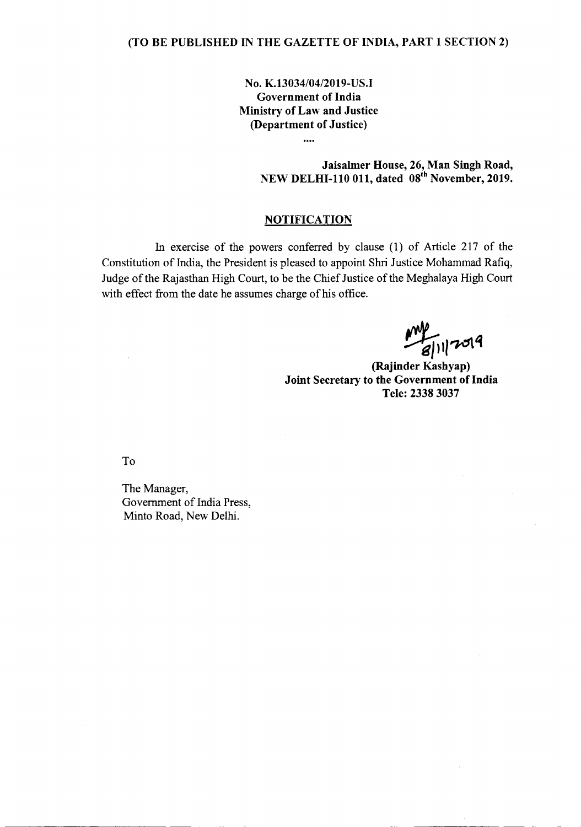# No. K.13034/04/2019-US.I Government of India Ministry of Law and Justice (Department of Justice)

 $\ddotsc$ 

Jaisalmer House, 26, Man Singh Road, NEW DELHI-110 011, dated 08<sup>th</sup> November, 2019.

# **NOTIFICATION**

In exercise of the powers conferred by clause (1) of Article 217 of the Constitution of India, the President is pleased to appoint Shri Justice Mohammad Rafiq, Judge of the Rajasthan High Court, to be the Chief Justice of the Meghalaya High Court with effect from the date he assumes charge of his office.

 $/17019$ 

--------------- -

(Rajinder Kashyap) Joint Secretary to the Government of India Tele: 2338 3037

To

-------------------------- - -

The Manager, Government of India Press, Minto Road, New Delhi.